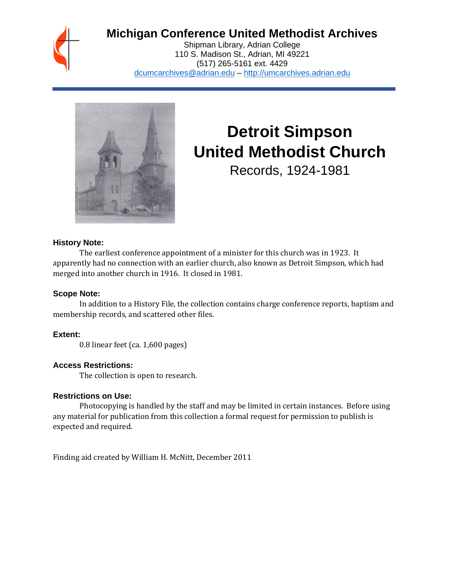

# **Michigan Conference United Methodist Archives**

Shipman Library, Adrian College 110 S. Madison St., Adrian, MI 49221 (517) 265-5161 ext. 4429 [dcumcarchives@adrian.edu](mailto:dcumcarchives@adrian.edu) – [http://umcarchives.adrian.edu](http://umcarchives.adrian.edu/)



# **Detroit Simpson United Methodist Church**

Records, 1924-1981

#### **History Note:**

The earliest conference appointment of a minister for this church was in 1923. It apparently had no connection with an earlier church, also known as Detroit Simpson, which had merged into another church in 1916. It closed in 1981.

#### **Scope Note:**

In addition to a History File, the collection contains charge conference reports, baptism and membership records, and scattered other files.

# **Extent:**

0.8 linear feet (ca. 1,600 pages)

# **Access Restrictions:**

The collection is open to research.

#### **Restrictions on Use:**

Photocopying is handled by the staff and may be limited in certain instances. Before using any material for publication from this collection a formal request for permission to publish is expected and required.

Finding aid created by William H. McNitt, December 2011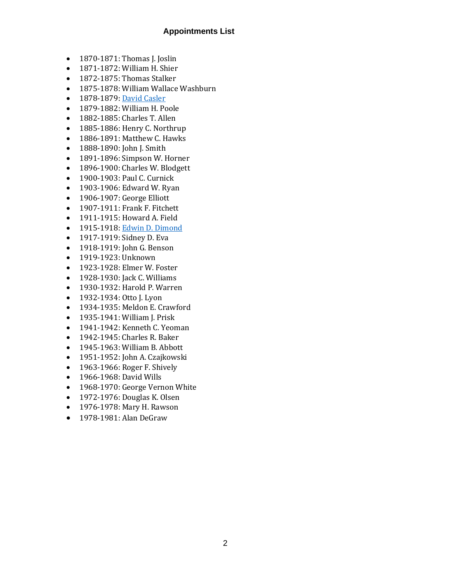# **Appointments List**

- 1870-1871: Thomas J. Joslin
- 1871-1872: William H. Shier
- 1872-1875: Thomas Stalker
- 1875-1878: William Wallace Washburn
- 1878-1879[: David Casler](http://umcarchives.adrian.edu/clergy/caslerd.php)
- 1879-1882: William H. Poole
- 1882-1885: Charles T. Allen
- 1885-1886: Henry C. Northrup
- 1886-1891: Matthew C. Hawks
- 1888-1890: John J. Smith
- 1891-1896: Simpson W. Horner
- 1896-1900: Charles W. Blodgett
- 1900-1903: Paul C. Curnick
- 1903-1906: Edward W. Ryan
- 1906-1907: George Elliott
- 1907-1911: Frank F. Fitchett
- 1911-1915: Howard A. Field
- 1915-1918[: Edwin D. Dimond](http://umcarchives.adrian.edu/clergy/dimonded.php)
- 1917-1919: Sidney D. Eva
- 1918-1919: John G. Benson
- 1919-1923: Unknown
- 1923-1928: Elmer W. Foster
- 1928-1930: Jack C. Williams
- 1930-1932: Harold P. Warren
- 1932-1934: Otto J. Lyon
- 1934-1935: Meldon E. Crawford
- 1935-1941: William J. Prisk
- 1941-1942: Kenneth C. Yeoman
- 1942-1945: Charles R. Baker
- 1945-1963: William B. Abbott
- 1951-1952: John A. Czajkowski
- 1963-1966: Roger F. Shively
- 1966-1968: David Wills
- 1968-1970: George Vernon White
- 1972-1976: Douglas K. Olsen
- 1976-1978: Mary H. Rawson
- 1978-1981: Alan DeGraw